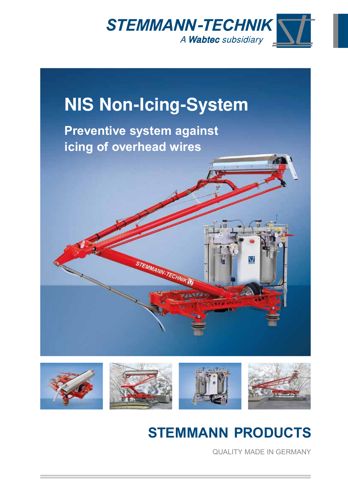



**FTEMMANN-TECHN** 

**Preventive system against icing of overhead wires**



# **STEMMANN PRODUCTS**

QUALITY MADE IN GERMANY

 $\overline{\rm M}$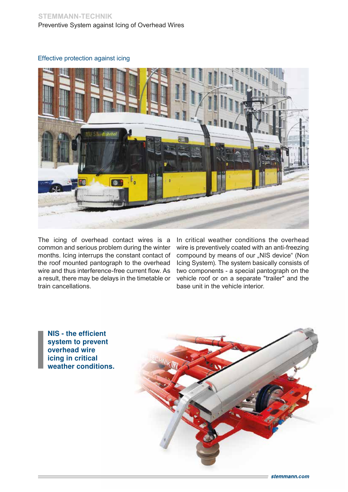## **STEMMANN-TECHNIK** Preventive System against Icing of Overhead Wires

### Effective protection against icing



The icing of overhead contact wires is a common and serious problem during the winter months. Icing interrups the constant contact of the roof mounted pantograph to the overhead wire and thus interference-free current flow. As a result, there may be delays in the timetable or train cancellations.

In critical weather conditions the overhead wire is preventively coated with an anti-freezing compound by means of our "NIS device" (Non Icing System). The system basically consists of two components - a special pantograph on the vehicle roof or on a separate "trailer" and the base unit in the vehicle interior.

NIS - the efficient system to prevent overhead wire icing in critical weather conditions.

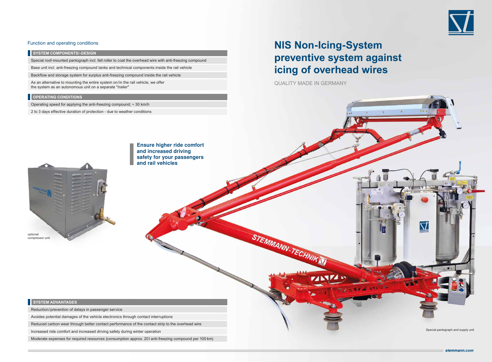### Function and operating conditions

**SYSTEM COMPONENTS/-DESIGN** 

### **SYSTEM ADVANTAGES**

Reduction/prevention of delays in passenger service

Avoides potential damages of the vehicle electronics through contact interruptions

Reduced carbon wear through better contact performance of the contact strip to the overhead wire

Increased ride comfort and increased driving safety during winter operation

Moderate expenses for required resources (consumption approx. 20 l anti-freezing compound per 100 km)





Operating speed for applying the anti-freezing compound; ~ 30 km/h

2 to 3 days effective duration of protection - due to weather conditions

Special roof-mounted pantograph incl. felt roller to coat the overhead wire with anti-freezing compound

Base unit incl. anti-freezing compound tanks and technical components inside the rail vehicle

Backflow and storage system for surplus anti-freezing compound inside the rail vehicle

As an alternative to mounting the entire system on/in the rail vehicle, we offer the system as an autonomous unit on a separate "trailer"

### **OPERATING CONDITIONS**

QUALITY MADE IN GERMANY

STEMMANN-TECHNIK

# **NIS Non-Icing-System preventive system against icing of overhead wires**

Ensure higher ride comfort and increased driving safety for your passengers and rail vehicles



Special pantograph and supply unit